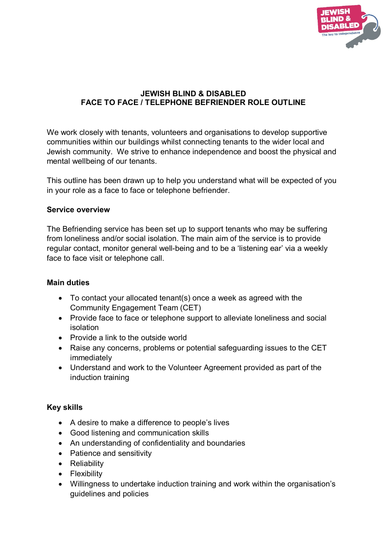

# **JEWISH BLIND & DISABLED FACE TO FACE / TELEPHONE BEFRIENDER ROLE OUTLINE**

We work closely with tenants, volunteers and organisations to develop supportive communities within our buildings whilst connecting tenants to the wider local and Jewish community. We strive to enhance independence and boost the physical and mental wellbeing of our tenants.

This outline has been drawn up to help you understand what will be expected of you in your role as a face to face or telephone befriender.

### **Service overview**

The Befriending service has been set up to support tenants who may be suffering from loneliness and/or social isolation. The main aim of the service is to provide regular contact, monitor general well-being and to be a 'listening ear' via a weekly face to face visit or telephone call.

### **Main duties**

- To contact your allocated tenant(s) once a week as agreed with the Community Engagement Team (CET)
- Provide face to face or telephone support to alleviate loneliness and social isolation
- Provide a link to the outside world
- Raise any concerns, problems or potential safeguarding issues to the CET immediately
- Understand and work to the Volunteer Agreement provided as part of the induction training

# **Key skills**

- A desire to make a difference to people's lives
- Good listening and communication skills
- An understanding of confidentiality and boundaries
- Patience and sensitivity
- Reliability
- Flexibility
- Willingness to undertake induction training and work within the organisation's guidelines and policies